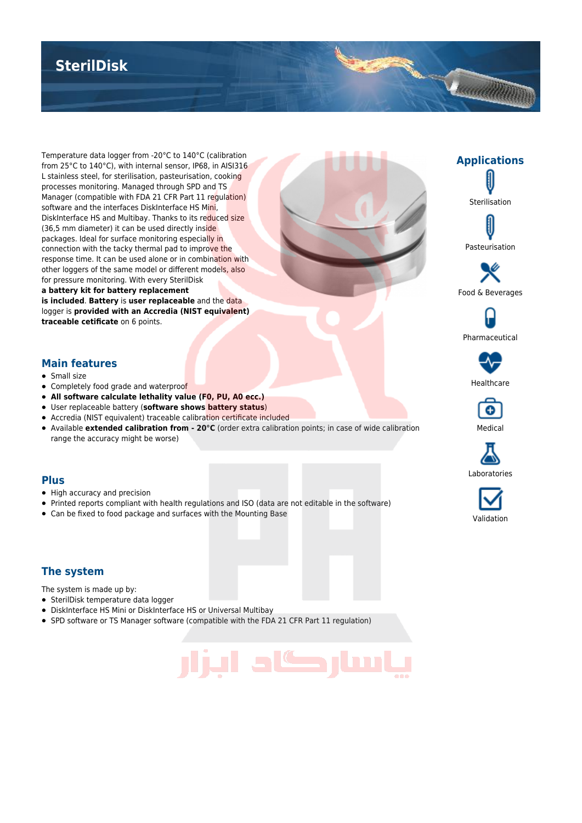## **SterilDisk**

Temperature data logger from -20°C to 140°C (calibration from 25°C to 140°C), with internal sensor, IP68, in AISI316 L stainless steel, for sterilisation, pasteurisation, cooking processes monitoring. Managed through SPD and TS Manager (compatible with FDA 21 CFR Part 11 regulation) software and the interfaces DiskInterface HS Mini, DiskInterface HS and Multibay. Thanks to its reduced size (36,5 mm diameter) it can be used directly inside packages. Ideal for surface monitoring especially in connection with the tacky thermal pad to improve the response time. It can be used alone or in combination with other loggers of the same model or different models, also for pressure monitoring. With every SterilDisk **a battery kit for battery replacement is included**. **Battery** is **user replaceable** and the data logger is **provided with an Accredia (NIST equivalent)**

**traceable cetificate** on 6 points.



**Applications**

Constitution of the Constitution

Sterilisation

Pasteurisation

Pharmaceutical

#### **Main features**

- Small size
- Completely food grade and waterproof
- **All software calculate lethality value (F0, PU, A0 ecc.)**
- User replaceable battery (**software shows battery status**)
- Accredia (NIST equivalent) traceable calibration certificate included
- Available **extended calibration from 20°C** (order extra calibration points; in case of wide calibration range the accuracy might be worse)

#### **Plus**

- High accuracy and precision
- Printed reports compliant with health regulations and ISO (data are not editable in the software)
- Can be fixed to food package and surfaces with the Mounting Base

#### **The system**

The system is made up by:

- SterilDisk temperature data logger
- DiskInterface HS Mini or DiskInterface HS or Universal Multibay
- SPD software or TS Manager software (compatible with the FDA 21 CFR Part 11 regulation)